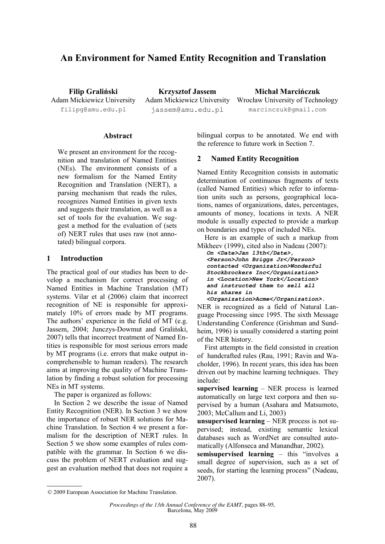# **An Environment for Named Entity Recognition and Translation**

**Filip Graliński** Adam Mickiewicz University filipg@amu.edu.pl

**Krzysztof Jassem** Adam Mickiewicz University jassem@amu.edu.pl

**Michał Marcińczuk** Wrocław University of Technology marcinczuk@gmail.com

#### **Abstract**

We present an environment for the recognition and translation of Named Entities (NEs). The environment consists of a new formalism for the Named Entity Recognition and Translation (NERT), a parsing mechanism that reads the rules, recognizes Named Entities in given texts and suggests their translation, as well as a set of tools for the evaluation. We suggest a method for the evaluation of (sets of) NERT rules that uses raw (not annotated) bilingual corpora.

#### **1 Introduction**

The practical goal of our studies has been to develop a mechanism for correct processing of Named Entities in Machine Translation (MT) systems. Vilar et al (2006) claim that incorrect recognition of NE is responsible for approximately 10% of errors made by MT programs. The authors' experience in the field of MT (e.g. Jassem, 2004; Junczys-Dowmut and Graliński, 2007) tells that incorrect treatment of Named Entities is responsible for most serious errors made by MT programs (i.e. errors that make output incomprehensible to human readers). The research aims at improving the quality of Machine Translation by finding a robust solution for processing NEs in MT systems.

The paper is organized as follows:

In Section 2 we describe the issue of Named Entity Recognition (NER). In Section 3 we show the importance of robust NER solutions for Machine Translation. In Section 4 we present a formalism for the description of NERT rules. In Section 5 we show some examples of rules compatible with the grammar. In Section 6 we discuss the problem of NERT evaluation and suggest an evaluation method that does not require a bilingual corpus to be annotated. We end with the reference to future work in Section 7.

#### **2 Named Entity Recognition**

Named Entity Recognition consists in automatic determination of continuous fragments of texts (called Named Entities) which refer to information units such as persons, geographical locations, names of organizations, dates, percentages, amounts of money, locations in texts. A NER module is usually expected to provide a markup on boundaries and types of included NEs.

Here is an example of such a markup from Mikheev (1999), cited also in Nadeau (2007):

*On <Date>Jan 13th</Date>, <Person>John Briggs Jr</Person> contacted <Organization>Wonderful Stockbrockers Inc</Organization> in <Location>New York</Location> and instructed them to sell all his shares in*

*<Organization>Acme</Organization>.* NER is recognized as a field of Natural Language Processing since 1995. The sixth Message Understanding Conference (Grishman and Sundheim, 1996) is usually considered a starting point of the NER history.

First attempts in the field consisted in creation of handcrafted rules (Rau, 1991; Ravin and Wacholder, 1996). In recent years, this idea has been driven out by machine learning techniques. They include:

**supervised learning** – NER process is learned automatically on large text corpora and then supervised by a human (Asahara and Matsumoto, 2003; McCallum and Li, 2003)

**unsupervised learning** – NER process is not supervised; instead, existing semantic lexical databases such as WordNet are consulted automatically (Alfonseca and Manandhar, 2002).

**semisupervised learning** – this "involves a small degree of supervision, such as a set of seeds, for starting the learning process" (Nadeau, 2007).

<sup>© 2009</sup> European Association for Machine Translation.

*Proceedings of the 13th Annual Conference of the EAMT*, pages 88–95, Barcelona, May 2009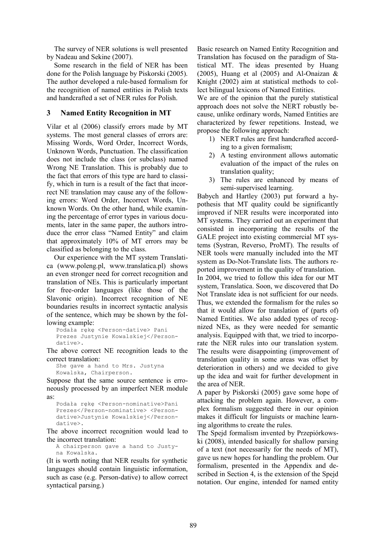The survey of NER solutions is well presented by Nadeau and Sekine (2007).

Some research in the field of NER has been done for the Polish language by Piskorski (2005). The author developed a rule-based formalism for the recognition of named entities in Polish texts and handcrafted a set of NER rules for Polish.

# **3 Named Entity Recognition in MT**

Vilar et al (2006) classify errors made by MT systems. The most general classes of errors are: Missing Words, Word Order, Incorrect Words, Unknown Words, Punctuation. The classification does not include the class (or subclass) named Wrong NE Translation. This is probably due to the fact that errors of this type are hard to classify, which in turn is a result of the fact that incorrect NE translation may cause any of the following errors: Word Order, Incorrect Words, Unknown Words. On the other hand, while examining the percentage of error types in various documents, later in the same paper, the authors introduce the error class "Named Entity" and claim that approximately 10% of MT errors may be classified as belonging to the class.

Our experience with the MT system Translatica (www.poleng.pl, www.translatica.pl) shows an even stronger need for correct recognition and translation of NEs. This is particularly important for free-order languages (like those of the Slavonic origin). Incorrect recognition of NE boundaries results in incorrect syntactic analysis of the sentence, which may be shown by the following example:

```
Podała rękę <Person-dative> Pani
Prezes Justynie Kowalskiej</Person-
dative>.
```
The above correct NE recognition leads to the correct translation:

```
She gave a hand to Mrs. Justyna
Kowalska, Chairperson.
```
Suppose that the same source sentence is erroneously processed by an imperfect NER module as:

```
Podała rękę <Person-nominative>Pani
Prezes</Person-nominative> <Person-
dative>Justynie Kowalskiej</Person-
dative>.
```
The above incorrect recognition would lead to the incorrect translation:

A chairperson gave a hand to Justyna Kowalska.

(It is worth noting that NER results for synthetic languages should contain linguistic information, such as case (e.g. Person-dative) to allow correct syntactical parsing.)

Basic research on Named Entity Recognition and Translation has focused on the paradigm of Statistical MT. The ideas presented by Huang (2005), Huang et al (2005) and Al-Onaizan  $\&$ Knight (2002) aim at statistical methods to collect bilingual lexicons of Named Entities.

We are of the opinion that the purely statistical approach does not solve the NERT robustly because, unlike ordinary words, Named Entities are characterized by fewer repetitions. Instead, we propose the following approach:

- 1) NERT rules are first handcrafted according to a given formalism;
- 2) A testing environment allows automatic evaluation of the impact of the rules on translation quality;
- 3) The rules are enhanced by means of semi-supervised learning.

Babych and Hartley (2003) put forward a hypothesis that MT quality could be significantly improved if NER results were incorporated into MT systems. They carried out an experiment that consisted in incorporating the results of the GALE project into existing commercial MT systems (Systran, Reverso, ProMT). The results of NER tools were manually included into the MT system as Do-Not-Translate lists. The authors reported improvement in the quality of translation. In 2004, we tried to follow this idea for our MT system, Translatica. Soon, we discovered that Do Not Translate idea is not sufficient for our needs. Thus, we extended the formalism for the rules so that it would allow for translation of (parts of) Named Entities. We also added types of recognized NEs, as they were needed for semantic analysis. Equipped with that, we tried to incorporate the NER rules into our translation system. The results were disappointing (improvement of translation quality in some areas was offset by deterioration in others) and we decided to give up the idea and wait for further development in the area of NER.

A paper by Piskorski (2005) gave some hope of attacking the problem again. However, a complex formalism suggested there in our opinion makes it difficult for linguists or machine learning algorithms to create the rules.

The Spejd formalism invented by Przepiórkowski (2008), intended basically for shallow parsing of a text (not necessarily for the needs of MT), gave us new hopes for handling the problem. Our formalism, presented in the Appendix and described in Section 4, is the extension of the Spejd notation. Our engine, intended for named entity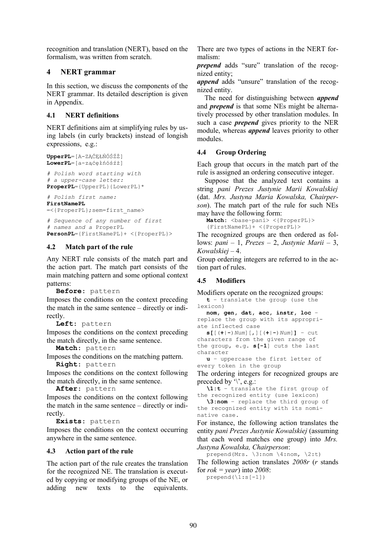recognition and translation (NERT), based on the formalism, was written from scratch.

# **4 NERT grammar**

In this section, we discuss the components of the NERT grammar. Its detailed description is given in Appendix.

# **4.1 NERT definitions**

NERT definitions aim at simplifying rules by using labels (in curly brackets) instead of longish expressions, e.g.:

```
UpperPL=[A-ZĄĆĘŁŃÓŚŹŻ]
LowerPL=[a-ząćęłńóśźż]
# Polish word starting with 
# a upper-case letter: 
ProperPL={UpperPL}{LowerPL}*
```
*# Polish first name:* **FirstNamePL**

=<{ProperPL};sem=first\_name>

```
# Sequence of any number of first
# names and a ProperPL
PersonPL={FirstNamePL}+ <{ProperPL}>
```
# **4.2 Match part of the rule**

Any NERT rule consists of the match part and the action part. The match part consists of the main matching pattern and some optional context patterns:

**Before**: pattern

Imposes the conditions on the context preceding the match in the same sentence – directly or indirectly.

**Left**: pattern

Imposes the conditions on the context preceding the match directly, in the same sentence.

**Match**: pattern

Imposes the conditions on the matching pattern. **Right**: pattern

Imposes the conditions on the context following the match directly, in the same sentence.

**After**: pattern

Imposes the conditions on the context following the match in the same sentence – directly or indirectly.

**Exists**: pattern

Imposes the conditions on the context occurring anywhere in the same sentence.

# **4.3 Action part of the rule**

The action part of the rule creates the translation for the recognized NE. The translation is executed by copying or modifying groups of the NE, or adding new texts to the equivalents. There are two types of actions in the NERT formalism:

*prepend* adds "sure" translation of the recognized entity;

*append* adds "unsure" translation of the recognized entity.

The need for distinguishing between *append* and *prepend* is that some NEs might be alternatively processed by other translation modules. In such a case *prepend* gives priority to the NER module, whereas *append* leaves priority to other modules.

# **4.4 Group Ordering**

Each group that occurs in the match part of the rule is assigned an ordering consecutive integer.

Suppose that the analyzed text contains a string *pani Prezes Justynie Marii Kowalskiej* (dat. *Mrs. Justyna Maria Kowalska, Chairperson*). The match part of the rule for such NEs may have the following form:

Match: <br />  $\delta$ <br />  $\delta$ <br />  $\delta$ <br />  $\delta$ <br />  $\delta$ <br />  $\delta$ <br />  $\delta$ <br />  $\delta$ <br />  $\delta$ <br />  $\delta$ <br />  $\delta$ <br />  $\delta$ <br />  $\delta$ <br />  $\delta$ <br />  $\delta$ <br />  $\delta$ <br />  $\delta$ <br />  $\delta$ <br />  $\delta$ <br /> {FirstNamePL}+ <{ProperPL}>

The recognized groups are then ordered as follows: *pani* – 1, *Prezes* – 2, *Justynie Marii* – 3, *Kowalskiej* – 4.

Group ordering integers are referred to in the action part of rules.

# **4.5 Modifiers**

Modifiers operate on the recognized groups:

**t** – translate the group (use the lexicon)

```
nom, gen, dat, acc, instr, loc –
replace the group with its appropri-
ate inflected case
```
**s[**[(**+**|**-**)*Num*][,][(**+**|**-**)*Num*]**]** – cut characters from the given range of the group, e.g. **s[-1**] cuts the last character

**u** – uppercase the first letter of every token in the group

The ordering integers for recognized groups are preceded by  $\vee$ , e.g.:

```
\1:t – translate the first group of
the recognized entity (use lexicon)
```
**\3:nom** – replace the third group of the recognized entity with its nominative case.

For instance, the following action translates the entity *pani Prezes Justynie Kowalskiej* (assuming that each word matches one group) into *Mrs. Justyna Kowalska, Chairperson*:

prepend(Mrs.  $\sin \frac{4:}{\cos}$ ) 2:t)

The following action translates *2008r* (*r* stands for *rok = year*) into *2008*:

 $prepend(\{1:s[-1]\})$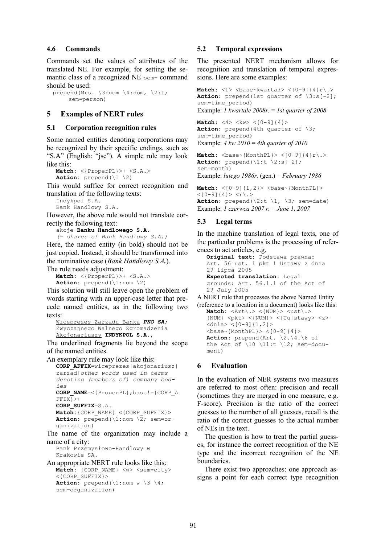#### **4.6 Commands**

Commands set the values of attributes of the translated NE. For example, for setting the semantic class of a recognized NE sem= command should be used:

prepend(Mrs. \3:nom \4:nom, \2:t; sem=person)

# **5 Examples of NERT rules**

#### **5.1 Corporation recognition rules**

Some named entities denoting corporations may be recognized by their specific endings, such as "S.A" (English: "jsc"). A simple rule may look like this:

```
Match: <{ProperPL}>+ <S.A.>
Action: prepend(\1 \2)
```
This would suffice for correct recognition and translation of the following texts:

Indykpol S.A. Bank Handlowy S.A.

However, the above rule would not translate correctly the following text:

akcje **Banku Handlowego S.A.**

*(= shares of Bank Handlowy S.A.)*

Here, the named entity (in bold) should not be just copied. Instead, it should be transformed into the nominative case (*Bank Handlowy S.A.*). The rule needs adjustment:

**Match:** <{ProperPL}>+ <S.A.> **Action:** prepend(\1:nom \2)

This solution will still leave open the problem of words starting with an upper-case letter that precede named entities, as in the following two texts:

```
Wiceprezes Zarządu Banku PKO SA;
Zwyczajnego Walnego Zgromadzenia
Akcjonariuszy INDYKPOL S.A.,
```
The underlined fragments lie beyond the scope of the named entities.

```
An exemplary rule may look like this:
  CORP_AFFIX=wiceprezes|akcjonariusz|
  zarząd|other words used in terms
  denoting (members of) company bod-
  ies
  CORP_NAME=<{ProperPL};base!~{CORP_A
  FFIX}>+
  CORP_SUFFIX=S.A.
  Match:{CORP_NAME} <{CORP_SUFFIX}>
  Action: prepend(\1:nom \2; sem=or-
  ganization)
```
The name of the organization may include a name of a city:

Bank Przemysłowo-Handlowy w Krakowie SA.

```
An appropriate NERT rule looks like this: 
   Match: {CORP_NAME} <w> <sem=city>
   \langle (CORP SUFFIX} >
   Action: prepend(\{1:nom \ w \ \3 \ \4;sem=organization)
```
### **5.2 Temporal expressions**

The presented NERT mechanism allows for recognition and translation of temporal expressions. Here are some examples:

**Match:**  $\langle 1 \rangle$   $\langle$ base~kwartał>  $\langle$ [0-9]{4}r\.> **Action:** prepend(1st quarter of  $\{3:s[-2]\}$ ; sem=time\_period) Example: *1 kwartale 2008r.* = *1st quarter of 2008*

```
Match: <4> <kw> <[0-9]{4}>
Action: prepend(4th quarter of \3;
sem=time_period)
Example: 4 kw 2010 = 4th quarter of 2010
```

```
Match: \langle base \sim \{MonthlyPL\} \rangle \langle [0-9] \{4\} r \rangle.Action: prepend(\{1:t \mid 2:s[-2]\};sem=month)
```
Example: *lutego 1986r.* (gen.) = *February 1986*

 $Match: <[0-9]{1,2} >$  $< [0-9]$  {4}>  $< r \backslash . >$ **Action:** prepend( $\{2:t \mid 1, \exists\}$  sem=date) Example: *1 czerwca 2007 r.* = *June 1, 2007*

### **5.3 Legal terms**

In the machine translation of legal texts, one of the particular problems is the processing of references to act articles, e.g.

```
Original text: Podstawa prawna:
Art. 56 ust. 1 pkt 1 Ustawy z dnia
29 lipca 2005
Expected translation: Legal
grounds: Art. 56.1.1 of the Act of
29 July 2005
```
A NERT rule that processes the above Named Entity (reference to a location in a document) looks like this:

```
Match: \langle \text{Art}\rangle. > \langle \text{NUM}\rangle > \langle \text{ust}\rangle.{NUM} \langle \text{ptt} \rangle \langle \text{num} \rangle > \langle \text{[Uu]} \text{stay} \rangle \langle \text{zz} \rangle\langle \text{dnia} \rangle \langle [0-9][1,2] \rangle<base~{MonthPL}> <[0-9]{4}>
Action: prepend(Art. \2.\4.\6 of
the Act of \10 \ 11:t \ 12; sem=docu-
ment)
```
### **6 Evaluation**

In the evaluation of NER systems two measures are referred to most often: precision and recall (sometimes they are merged in one measure, e.g. F-score). Precision is the ratio of the correct guesses to the number of all guesses, recall is the ratio of the correct guesses to the actual number of NEs in the text.

The question is how to treat the partial guesses, for instance the correct recognition of the NE type and the incorrect recognition of the NE boundaries.

There exist two approaches: one approach assigns a point for each correct type recognition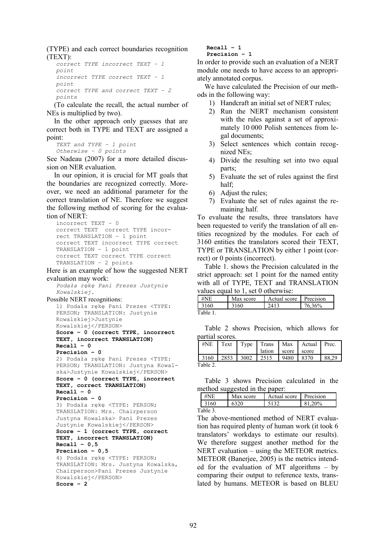(TYPE) and each correct boundaries recognition (TEXT):

```
correct TYPE incorrect TEXT – 1
point
incorrect TYPE correct TEXT – 1
point
correct TYPE and correct TEXT – 2
points
```
(To calculate the recall, the actual number of NEs is multiplied by two).

In the other approach only guesses that are correct both in TYPE and TEXT are assigned a point:

*TEXT and TYPE – 1 point Otherwise – 0 points*

See Nadeau (2007) for a more detailed discussion on NER evaluation.

In our opinion, it is crucial for MT goals that the boundaries are recognized correctly. Moreover, we need an additional parameter for the correct translation of NE. Therefore we suggest the following method of scoring for the evaluation of NERT:

```
incorrect TEXT – 0
correct TEXT correct TYPE incor-
rect TRANSLATION – 1 point
correct TEXT incorrect TYPE correct
TRANSLATION – 1 point
correct TEXT correct TYPE correct
TRANSLATION – 2 points
```
Here is an example of how the suggested NERT evaluation may work:

*Podała rękę Pani Prezes Justynie Kowalskiej.* 

```
Possible NERT recognitions:
```

```
1) Podała rękę Pani Prezes <TYPE:
PERSON; TRANSLATION: Justynie
Kowalskiej>Justynie
Kowalskiej</PERSON> 
Score – 0 (correct TYPE, incorrect
TEXT, incorrect TRANSLATION)
Recall – 0
```

```
Precision – 0
2) Podała rękę Pani Prezes <TYPE:
PERSON; TRANSLATION: Justyna Kowal-
ska>Justynie Kowalskiej</PERSON>
Score – 0 (correct TYPE, incorrect
TEXT, correct TRANSLATION)
Recall – 0
Precision – 0
3) Podała rękę <TYPE: PERSON;
TRANSLATION: Mrs. Chairperson
```

```
Justyna Kowalska> Pani Prezes
Justynie Kowalskiej</PERSON>
Score – 1 (correct TYPE, correct
TEXT, incorrect TRANSLATION)
```
**Recall – 0,5 Precision – 0,5**

```
4) Podała rękę <TYPE: PERSON;
TRANSLATION: Mrs. Justyna Kowalska,
Chairperson>Pani Prezes Justynie
Kowalskiej</PERSON>
Score – 2
```
**Recall – 1 Precision – 1**

In order to provide such an evaluation of a NERT module one needs to have access to an appropriately annotated corpus.

We have calculated the Precision of our methods in the following way:

- 1) Handcraft an initial set of NERT rules;
- 2) Run the NERT mechanism consistent with the rules against a set of approximately 10 000 Polish sentences from legal documents;
- 3) Select sentences which contain recognized NEs;
- 4) Divide the resulting set into two equal parts;
- 5) Evaluate the set of rules against the first half;
- 6) Adjust the rules;
- 7) Evaluate the set of rules against the remaining half.

To evaluate the results, three translators have been requested to verify the translation of all entities recognized by the modules. For each of 3160 entities the translators scored their TEXT, TYPE or TRANSLATION by either 1 point (correct) or 0 points (incorrect).

Table 1. shows the Precision calculated in the strict approach: set 1 point for the named entity with all of TYPE, TEXT and TRANSLATION values equal to 1, set 0 otherwise:

| #NE<br>Max score |      | Actual score | Precision |  |
|------------------|------|--------------|-----------|--|
| 3160             | 3160 | 2413         | 76,36%    |  |
| Table 1          |      |              |           |  |

Table 2 shows Precision, which allows for partial scores.

|                             |  |                        |      | #NE   Text   Type   Trans   Max   Actual   Prec. |  |
|-----------------------------|--|------------------------|------|--------------------------------------------------|--|
|                             |  | lation   score   score |      |                                                  |  |
| $3160$   2853   3002   2515 |  |                        | 9480 | 8370                                             |  |
| Table 2.                    |  |                        |      |                                                  |  |

Table 3 shows Precision calculated in the method suggested in the paper:

| #       | Max score | Actual score | Precision |
|---------|-----------|--------------|-----------|
| 3160    | 6320      |              | 20%       |
| Table 3 |           |              |           |

The above-mentioned method of NERT evaluation has required plenty of human work (it took 6 translators' workdays to estimate our results). We therefore suggest another method for the NERT evaluation – using the METEOR metrics. METEOR (Banerjee, 2005) is the metrics intended for the evaluation of MT algorithms – by comparing their output to reference texts, translated by humans. METEOR is based on BLEU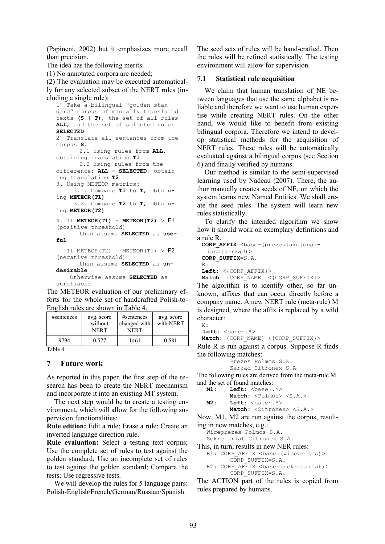(Papineni, 2002) but it emphasizes more recall than precision.

The idea has the following merits:

(1) No annotated corpora are needed;

(2) The evaluation may be executed automatically for any selected subset of the NERT rules (including a single rule):

```
1) Take a bilingual "golden stan-
dard" corpus of manually translated
texts (S | T), the set of all rules
ALL, and the set of selected rules
SELECTED
2) Translate all sentences from the
corpus S:
       2.1 using rules from ALL,
obtaining translation T1
       2.2 using rules from the
difference: ALL – SELECTED, obtain-
ing translation T2
3. Using METEOR metrics:
      3.1. Compare T1 to T, obtain-
ing METEOR(T1)
      3.2. Compare T2 to T, obtain-
ing METEOR(T2)
4. If METEOR(T1) – METEOR(T2) > F1
(positive threshold)
       then assume SELECTED as use-
f_{11}1If METEOR(T2) – METEOR(T1) > F2
(negative threshold)
       then assume SELECTED as un-
```
Otherwise assume **SELECTED** as unreliable The METEOR evaluation of our preliminary efforts for the whole set of handcrafted Polish-to-

English rules are shown in Table 4.

| #sentences    | avg. score<br>without<br><b>NERT</b> | #sentences<br>changed with<br>NERT | avg. score<br>with NERT |
|---------------|--------------------------------------|------------------------------------|-------------------------|
| 9794<br>$-11$ | 0.577                                | 1461                               | 0.581                   |

Table 4.

### **7 Future work**

**desirable**

As reported in this paper, the first step of the research has been to create the NERT mechanism and incorporate it into an existing MT system.

The next step would be to create a testing environment, which will allow for the following supervision functionalities:

**Rule edition:** Edit a rule; Erase a rule; Create an inverted language direction rule.

**Rule evaluation:** Select a testing text corpus; Use the complete set of rules to test against the golden standard; Use an incomplete set of rules to test against the golden standard; Compare the tests; Use regressive tests.

We will develop the rules for 5 language pairs: Polish-English/French/German/Russian/Spanish.

The seed sets of rules will be hand-crafted. Then the rules will be refined statistically. The testing environment will allow for supervision.

#### **7.1 Statistical rule acquisition**

We claim that human translation of NE between languages that use the same alphabet is reliable and therefore we want to use human expertise while creating NERT rules. On the other hand, we would like to benefit from existing bilingual corpora. Therefore we intend to develop statistical methods for the acquisition of NERT rules. These rules will be automatically evaluated against a bilingual corpus (see Section 6) and finally verified by humans.

Our method is similar to the semi-supervised learning used by Nadeau (2007). There, the author manually creates seeds of NE, on which the system learns new Named Entities. We shall create the seed rules. The system will learn new rules statistically.

To clarify the intended algorithm we show how it should work on exemplary definitions and a rule R.

```
CORP AFFIX=<br/>base~(prezes|akcjonar-
 iusz|zarząd)>
CORP_SUFFIX=S.A.
R:
Left: <{CORP_AFFIX}>
Match: {CORP_NAME} <{CORP_SUFFIX}>
```
The algorithm is to identify other, so far unknown, affixes that can occur directly before a company name. A new NERT rule (meta-rule) M is designed, where the affix is replaced by a wild character:

M:

Left: <br/>base~.\*> Match: {CORP\_NAME} <{CORP\_SUFFIX}>

Rule R is run against a corpus. Suppose R finds the following matches:

```
Prezes Polmos S.A.
Zarząd Citronex S.A
```
The following rules are derived from the meta-rule M and the set of found matches:

```
M1: Left: <br/>base~.*>
       Match: <Polmos> <S.A.>
M2: Left: <br/>base~.*>
       Match: <Citronex> <S.A.>
```
Now, M1, M2 are run against the corpus, resulting in new matches, e.g.:

```
Wiceprezes Polmos S.A.
Sekretariat Citronex S.A.
```
This, in turn, results in new NER rules:

```
R1: CORP AFFIX=<br/>base~(wiceprezes)>
       CORP_SUFFIX=S.A.
R2: CORP_AFFIX=<br/>base~(sekretariat)>
```

```
CORP_SUFFIX=S.A.
```
The ACTION part of the rules is copied from rules prepared by humans.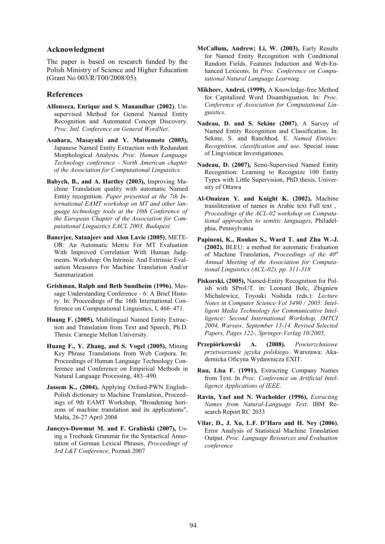#### **Acknowledgment**

The paper is based on research funded by the Polish Ministry of Science and Higher Education (Grant No 003/R/T00/2008/05).

#### **References**

- **Alfonseca, Enrique and S. Manandhar (2002)**, Unsupervised Method for General Named Entity Recognition and Automated Concept Discovery. *Proc. Intl. Conference on General WordNet*.
- **Asahara, Masayuki and Y. Matsumoto (2003),** Japanese Named Entity Extraction with Redundant Morphological Analysis. *Proc. Human Language Technology conference - North American chapter of the Association for Computational Linguistics.*
- **Babych, B., and A. Hartley (2003),** Improving Machine Translation quality with automatic Named Entity recognition. *Paper presented at the 7th International EAMT workshop on MT and other language technology tools at the 10th Conference of the European Chapter of the Association for Computational Linguistics EACL 2003, Budapest.*
- **Banerjee, Satanjeev and Alon Lavie (2005)**, METE-OR: An Automatic Metric For MT Evaluation With Improved Correlation With Human Judgments. Workshop: On Intrinsic And Extrinsic Evaluation Measures For Machine Translation And/or Summarization
- **Grishman, Ralph and Beth Sundheim (1996)**, Message Understanding Conference - 6: A Brief History. In: Proceedings of the 16th International Conference on Computational Linguistics, I, 466–471.
- **Huang F. (2005),** Multilingual Named Entity Extraction and Translation from Text and Speech, Ph.D. Thesis. Carnegie Mellon University.
- **Huang F., Y. Zhang, and S. Vogel (2005),** Mining Key Phrase Translations from Web Corpora. In: Proceedings of Human Language Technology Conference and Conference on Empirical Methods in Natural Language Processing, 483–490.
- **Jassem K., (2004),** Applying Oxford-PWN English-Polish dictionary to Machine Translation, Proceedings of 9th EAMT Workshop, "Broadening horizons of machine translation and its applications", Malta, 26-27 April 2004
- **Junczys-Dowmut M. and F. Graliński (2007),** Using a Treebank Grammar for the Syntactical Annotation of German Lexical Phrases, *Proceedings of 3rd L&T Conference*, Poznań 2007
- **McCallum, Andrew; Li, W. (2003),** Early Results for Named Entity Recognition with Conditional Random Fields, Features Induction and Web-Enhanced Lexicons. In *Proc. Conference on Computational Natural Language Learning*.
- **Mikheev, Andrei, (1999),** A Knowledge-free Method for Capitalized Word Disambiguation. In: *Proc. Conference of Association for Computational Linguistics*.
- **Nadeau, D. and S. Sekine (2007)**, A Survey of Named Entity Recognition and Classification. In: Sekine, S. and Ranchhod, E. *Named Entities: Recognition, classification and use*. Special issue of Lingvisticæ Investigationes.
- **Nadeau, D. (2007),** Semi-Supervised Named Entity Recognition: Learning to Recognize 100 Entity Types with Little Supervision, PhD thesis, University of Ottawa
- **Al-Onaizan Y. and Knight K. (2002),** Machine transliteration of names in Arabic text Full text , *Proceedings of the ACL-02 workshop on Computational approaches to semitic languages*, Philadelphia, Pennsylvania
- **Papineni, K., Roukos S., Ward T. and Zhu W.-J. (2002),** BLEU: a method for automatic Evaluation of Machine Translation, *Proceedings of the 40th Annual Meeting of the Association for Computational Linguistics (ACL-02), pp. 311-318*
- **Piskorski, (2005),** Named-Entity Recognition for Polish with SProUT. in: Leonard Bolc, Zbigniew Michalewicz, Toyoaki Nishida (eds.): *Lecture Notes in Computer Science Vol 3490 / 2005: Intelligent Media Technology for Communicative Intelligence: Second International Workshop, IMTCI 2004, Warsaw, September 13-14. Revised Selected Papers, Pages 122-, Springer-Verlag 10/2005,*
- **Przepiórkowski A. (2008).** *Powierzchniowe przetwarzanie języka polskiego*. Warszawa: Akademicka Oficyna Wydawnicza EXIT.
- **Rau, Lisa F. (1991),** Extracting Company Names from Text. In *Proc. Conference on Artificial Intelligence Applications of IEEE*.
- **Ravin, Yael and N. Wacholder (1996),** *Extracting Names from Natural-Language Text*. IBM Research Report RC 2033
- **Vilar, D., J. Xu, L.F. D'Haro and H. Ney (2006)**, Error Analysis of Statistical Machine Translation Output. *Proc. Language Resources and Evaluation conference*